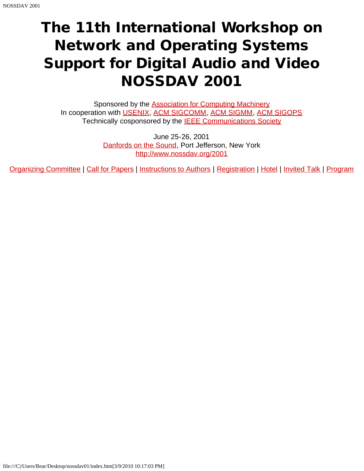# The 11th International Workshop on Network and Operating Systems Support for Digital Audio and Video NOSSDAV 2001

Sponsored by the **Association for Computing Machinery** In cooperation with [USENIX,](javascript:if(confirm() [ACM SIGCOMM](javascript:if(confirm(), [ACM SIGMM](javascript:if(confirm(), [ACM SIGOPS](javascript:if(confirm() Technically cosponsored by the **IEEE Communications Society** 

> June 25-26, 2001 [Danfords on the Sound,](javascript:if(confirm() Port Jefferson, New York [http://www.nossdav.org/2001](javascript:if(confirm()

[Organizing Committee](#page-1-0) | [Call for Papers](#page-2-0) | [Instructions to Authors](#page-3-0) | [Registration](javascript:if(confirm() | [Hotel](#page-5-0) | [Invited Talk](#page-7-0) | [Program](#page-8-0)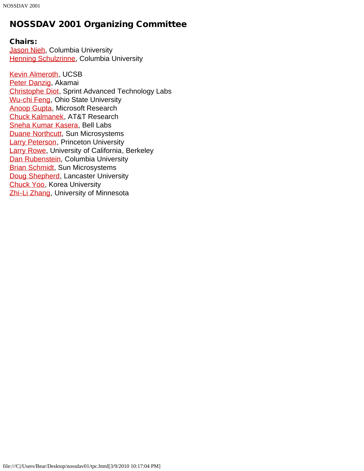## <span id="page-1-0"></span>NOSSDAV 2001 Organizing Committee

#### Chairs:

**[Jason Nieh](javascript:if(confirm(), Columbia University [Henning Schulzrinne](javascript:if(confirm(), Columbia University** 

[Kevin Almeroth,](javascript:if(confirm() UCSB [Peter Danzig,](javascript:if(confirm() Akamai [Christophe Diot](javascript:if(confirm(), Sprint Advanced Technology Labs [Wu-chi Feng](javascript:if(confirm(), Ohio State University [Anoop Gupta](javascript:if(confirm(), Microsoft Research [Chuck Kalmanek,](javascript:if(confirm() AT&T Research [Sneha Kumar Kasera,](javascript:if(confirm() Bell Labs **[Duane Northcutt,](javascript:if(confirm() Sun Microsystems [Larry Peterson,](javascript:if(confirm() Princeton University** [Larry Rowe,](javascript:if(confirm() University of California, Berkeley [Dan Rubenstein](javascript:if(confirm(), Columbia University **[Brian Schmidt](javascript:if(confirm(), Sun Microsystems** [Doug Shepherd,](javascript:if(confirm() Lancaster University [Chuck Yoo](javascript:if(confirm(), Korea University [Zhi-Li Zhang](javascript:if(confirm(), University of Minnesota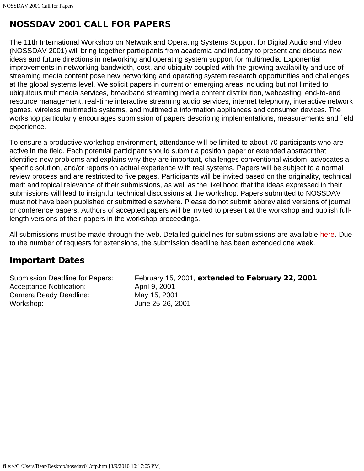## <span id="page-2-0"></span>NOSSDAV 2001 CALL FOR PAPERS

The 11th International Workshop on Network and Operating Systems Support for Digital Audio and Video (NOSSDAV 2001) will bring together participants from academia and industry to present and discuss new ideas and future directions in networking and operating system support for multimedia. Exponential improvements in networking bandwidth, cost, and ubiquity coupled with the growing availability and use of streaming media content pose new networking and operating system research opportunities and challenges at the global systems level. We solicit papers in current or emerging areas including but not limited to ubiquitous multimedia services, broadband streaming media content distribution, webcasting, end-to-end resource management, real-time interactive streaming audio services, internet telephony, interactive network games, wireless multimedia systems, and multimedia information appliances and consumer devices. The workshop particularly encourages submission of papers describing implementations, measurements and field experience.

To ensure a productive workshop environment, attendance will be limited to about 70 participants who are active in the field. Each potential participant should submit a position paper or extended abstract that identifies new problems and explains why they are important, challenges conventional wisdom, advocates a specific solution, and/or reports on actual experience with real systems. Papers will be subject to a normal review process and are restricted to five pages. Participants will be invited based on the originality, technical merit and topical relevance of their submissions, as well as the likelihood that the ideas expressed in their submissions will lead to insightful technical discussions at the workshop. Papers submitted to NOSSDAV must not have been published or submitted elsewhere. Please do not submit abbreviated versions of journal or conference papers. Authors of accepted papers will be invited to present at the workshop and publish fulllength versions of their papers in the workshop proceedings.

All submissions must be made through the web. Detailed guidelines for submissions are available [here.](#page-11-0) Due to the number of requests for extensions, the submission deadline has been extended one week.

### Important Dates

Acceptance Notification: April 9, 2001 Camera Ready Deadline: May 15, 2001 Workshop: June 25-26, 2001

Submission Deadline for Papers: February 15, 2001, extended to February 22, 2001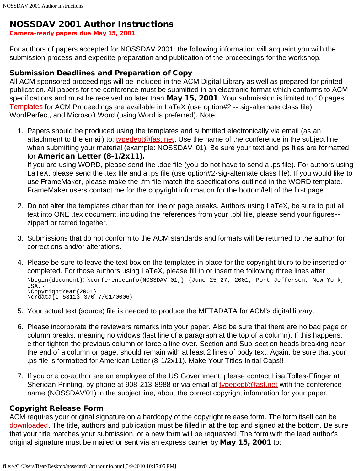#### <span id="page-3-0"></span>NOSSDAV 2001 Author Instructions

Camera-ready papers due May 15, 2001

For authors of papers accepted for NOSSDAV 2001: the following information will acquaint you with the submission process and expedite preparation and publication of the proceedings for the workshop.

#### Submission Deadlines and Preparation of Copy

All ACM sponsored proceedings will be included in the ACM Digital Library as well as prepared for printed publication. All papers for the conference must be submitted in an electronic format which conforms to ACM specifications and must be received no later than May 15, 2001. Your submission is limited to 10 pages. [Templates](javascript:if(confirm() for ACM Proceedings are available in LaTeX (use option#2 -- sig-alternate class file), WordPerfect, and Microsoft Word (using Word is preferred). Note:

1. Papers should be produced using the templates and submitted electronically via email (as an attachment to the email) to: [typedept@fast.net](mailto:typedept@fast.net). Use the name of the conference in the subject line when submitting your material (example: NOSSDAV '01). Be sure your text and .ps files are formatted for American Letter (8-1/2x11).

If you are using WORD, please send the .doc file (you do not have to send a .ps file). For authors using LaTeX, please send the .tex file and a .ps file (use option#2-sig-alternate class file). If you would like to use FrameMaker, please make the .fm file match the specifications outlined in the WORD template. FrameMaker users contact me for the copyright information for the bottom/left of the first page.

- 2. Do not alter the templates other than for line or page breaks. Authors using LaTeX, be sure to put all text into ONE .tex document, including the references from your .bbl file, please send your figures- zipped or tarred together.
- 3. Submissions that do not conform to the ACM standards and formats will be returned to the author for corrections and/or alterations.
- 4. Please be sure to leave the text box on the templates in place for the copyright blurb to be inserted or completed. For those authors using LaTeX, please fill in or insert the following three lines after \begin{document}: \conferenceinfo{NOSSDAV'01,} {June 25-27, 2001, Port Jefferson, New York, USA.} \CopyrightYear{2001} \crdata{1-58113-370-7/01/0006}
- 5. Your actual text (source) file is needed to produce the METADATA for ACM's digital library.
- 6. Please incorporate the reviewers remarks into your paper. Also be sure that there are no bad page or column breaks, meaning no widows (last line of a paragraph at the top of a column). If this happens, either tighten the previous column or force a line over. Section and Sub-section heads breaking near the end of a column or page, should remain with at least 2 lines of body text. Again, be sure that your .ps file is formatted for American Letter (8-1/2x11). Make Your Titles Initial Caps!!
- 7. If you or a co-author are an employee of the US Government, please contact Lisa Tolles-Efinger at Sheridan Printing, by phone at 908-213-8988 or via email at [typedept@fast.net](mailto:typedept@fast.net) with the conference name (NOSSDAV'01) in the subject line, about the correct copyright information for your paper.

#### Copyright Release Form

ACM requires your original signature on a hardcopy of the copyright release form. The form itself can be [downloaded](javascript:if(confirm(). The title, authors and publication must be filled in at the top and signed at the bottom. Be sure that your title matches your submission, or a new form will be requested. The form with the lead author's original signature must be mailed or sent via an express carrier by May 15, 2001 to: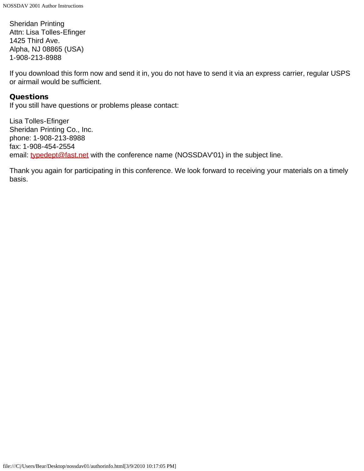Sheridan Printing Attn: Lisa Tolles-Efinger 1425 Third Ave. Alpha, NJ 08865 (USA) 1-908-213-8988

If you download this form now and send it in, you do not have to send it via an express carrier, regular USPS or airmail would be sufficient.

#### Questions

If you still have questions or problems please contact:

Lisa Tolles-Efinger Sheridan Printing Co., Inc. phone: 1-908-213-8988 fax: 1-908-454-2554 email: [typedept@fast.net](mailto:typedept@fast.net) with the conference name (NOSSDAV'01) in the subject line.

Thank you again for participating in this conference. We look forward to receiving your materials on a timely basis.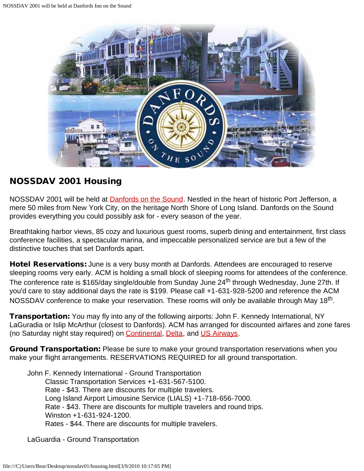<span id="page-5-0"></span>

### NOSSDAV 2001 Housing

NOSSDAV 2001 will be held at **Danfords on the Sound**. Nestled in the heart of historic Port Jefferson, a mere 50 miles from New York City, on the heritage North Shore of Long Island. Danfords on the Sound provides everything you could possibly ask for - every season of the year.

Breathtaking harbor views, 85 cozy and luxurious guest rooms, superb dining and entertainment, first class conference facilities, a spectacular marina, and impeccable personalized service are but a few of the distinctive touches that set Danfords apart.

Hotel Reservations: June is a very busy month at Danfords. Attendees are encouraged to reserve sleeping rooms very early. ACM is holding a small block of sleeping rooms for attendees of the conference. The conference rate is \$165/day single/double from Sunday June 24<sup>th</sup> through Wednesday, June 27th. If you'd care to stay additional days the rate is \$199. Please call +1-631-928-5200 and reference the ACM NOSSDAV conference to make your reservation. These rooms will only be available through May 18<sup>th</sup>.

**Transportation:** You may fly into any of the following airports: John F. Kennedy International, NY LaGuradia or Islip McArthur (closest to Danfords). ACM has arranged for discounted airfares and zone fares (no Saturday night stay required) on **Continental, [Delta,](javascript:if(confirm() and [US Airways.](javascript:if(confirm()** 

Ground Transportation: Please be sure to make your ground transportation reservations when you make your flight arrangements. RESERVATIONS REQUIRED for all ground transportation.

John F. Kennedy International - Ground Transportation Classic Transportation Services +1-631-567-5100. Rate - \$43. There are discounts for multiple travelers. Long Island Airport Limousine Service (LIALS) +1-718-656-7000. Rate - \$43. There are discounts for multiple travelers and round trips. Winston +1-631-924-1200. Rates - \$44. There are discounts for multiple travelers.

LaGuardia - Ground Transportation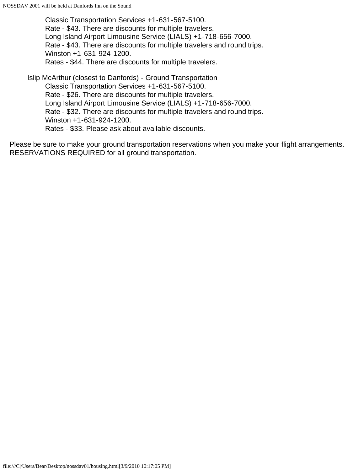Classic Transportation Services +1-631-567-5100. Rate - \$43. There are discounts for multiple travelers. Long Island Airport Limousine Service (LIALS) +1-718-656-7000. Rate - \$43. There are discounts for multiple travelers and round trips. Winston +1-631-924-1200. Rates - \$44. There are discounts for multiple travelers.

Islip McArthur (closest to Danfords) - Ground Transportation Classic Transportation Services +1-631-567-5100. Rate - \$26. There are discounts for multiple travelers. Long Island Airport Limousine Service (LIALS) +1-718-656-7000. Rate - \$32. There are discounts for multiple travelers and round trips. Winston +1-631-924-1200. Rates - \$33. Please ask about available discounts.

Please be sure to make your ground transportation reservations when you make your flight arrangements. RESERVATIONS REQUIRED for all ground transportation.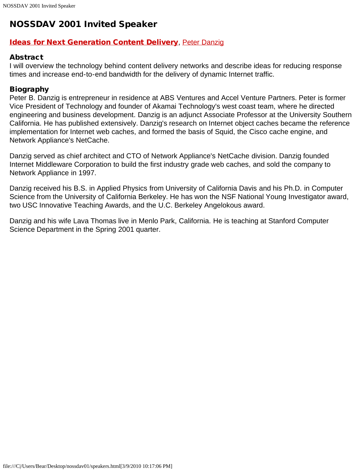# <span id="page-7-0"></span>NOSSDAV 2001 Invited Speaker

#### **[Ideas for Next Generation Content Delivery](file:///C|/Users/Bear/Desktop/nossdav01/keynote_nossdav2001.ppt), [Peter Danzig](javascript:if(confirm()**

#### **Abstract**

I will overview the technology behind content delivery networks and describe ideas for reducing response times and increase end-to-end bandwidth for the delivery of dynamic Internet traffic.

#### Biography

Peter B. Danzig is entrepreneur in residence at ABS Ventures and Accel Venture Partners. Peter is former Vice President of Technology and founder of Akamai Technology's west coast team, where he directed engineering and business development. Danzig is an adjunct Associate Professor at the University Southern California. He has published extensively. Danzig's research on Internet object caches became the reference implementation for Internet web caches, and formed the basis of Squid, the Cisco cache engine, and Network Appliance's NetCache.

Danzig served as chief architect and CTO of Network Appliance's NetCache division. Danzig founded Internet Middleware Corporation to build the first industry grade web caches, and sold the company to Network Appliance in 1997.

Danzig received his B.S. in Applied Physics from University of California Davis and his Ph.D. in Computer Science from the University of California Berkeley. He has won the NSF National Young Investigator award, two USC Innovative Teaching Awards, and the U.C. Berkeley Angelokous award.

Danzig and his wife Lava Thomas live in Menlo Park, California. He is teaching at Stanford Computer Science Department in the Spring 2001 quarter.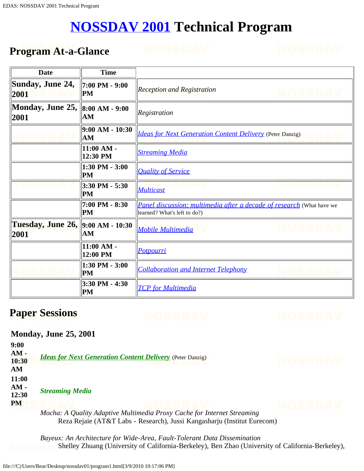# **[NOSSDAV 2001](javascript:if(confirm() Technical Program**

## <span id="page-8-0"></span>**Program At-a-Glance**

| Date                      | <b>Time</b>              |                                                                                                       |
|---------------------------|--------------------------|-------------------------------------------------------------------------------------------------------|
| Sunday, June 24,<br>2001  | 7:00 PM - 9:00<br>PM     | <b>Reception and Registration</b>                                                                     |
| Monday, June 25,<br>2001  | 8:00 AM - 9:00<br>AM     | Registration                                                                                          |
|                           | 9:00 AM - 10:30<br>AM    | <b>Ideas for Next Generation Content Delivery</b> (Peter Danzig)                                      |
|                           | 11:00 AM -<br>12:30 PM   | <b>Streaming Media</b>                                                                                |
|                           | 1:30 PM - 3:00<br>PM     | <b>Quality of Service</b>                                                                             |
|                           | 3:30 PM - 5:30<br>PM     | <b>Multicast</b>                                                                                      |
|                           | 7:00 PM - 8:30<br>PM     | Panel discussion: multimedia after a decade of research (What have we<br>learned? What's left to do?) |
| Tuesday, June 26,<br>2001 | 9:00 AM - 10:30<br>AM    | <b>Mobile Multimedia</b>                                                                              |
|                           | $11:00 AM -$<br>12:00 PM | <b>Potpourri</b>                                                                                      |
|                           | 1:30 PM - 3:00<br>PM     | <b>Collaboration and Internet Telephony</b>                                                           |
|                           | 3:30 PM - 4:30<br>PM     | <b>TCP</b> for Multimedia                                                                             |

# **Paper Sessions**

### **Monday, June 25, 2001**

**9:00 AM - 10:30 AM** *[Ideas for Next Generation Content Delivery](javascript:if(confirm()* (Peter Danzig) **11:00 AM - 12:30 PM** *Streaming Media*

<span id="page-8-1"></span>*Mocha: A Quality Adaptive Multimedia Proxy Cache for Internet Streaming* Reza Rejaie (AT&T Labs - Research), Jussi Kangasharju (Institut Eurecom)

*Bayeux: An Architecture for Wide-Area, Fault-Tolerant Data Dissemination* Shelley Zhuang (University of California-Berkeley), Ben Zhao (University of California-Berkeley),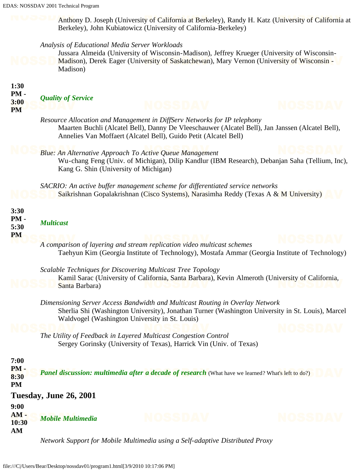Anthony D. Joseph (University of California at Berkeley), Randy H. Katz (University of California at Berkeley), John Kubiatowicz (University of California-Berkeley)

#### *Analysis of Educational Media Server Workloads*

Jussara Almeida (University of Wisconsin-Madison), Jeffrey Krueger (University of Wisconsin-Madison), Derek Eager (University of Saskatchewan), Mary Vernon (University of Wisconsin - Madison)

<span id="page-9-3"></span><span id="page-9-2"></span><span id="page-9-1"></span><span id="page-9-0"></span>

| 1:30<br>PM-<br>3:00<br><b>PM</b>    | <b>Quality of Service</b> |                                                                                                                                                                                                                                                                                                                                                                                |      |
|-------------------------------------|---------------------------|--------------------------------------------------------------------------------------------------------------------------------------------------------------------------------------------------------------------------------------------------------------------------------------------------------------------------------------------------------------------------------|------|
|                                     |                           | Resource Allocation and Management in DiffServ Networks for IP telephony<br>Maarten Buchli (Alcatel Bell), Danny De Vleeschauwer (Alcatel Bell), Jan Janssen (Alcatel Bell),<br>Annelies Van Moffaert (Alcatel Bell), Guido Petit (Alcatel Bell)                                                                                                                               |      |
|                                     |                           | <b>Blue: An Alternative Approach To Active Queue Management</b><br>Wu-chang Feng (Univ. of Michigan), Dilip Kandlur (IBM Research), Debanjan Saha (Tellium, Inc),<br>Kang G. Shin (University of Michigan)                                                                                                                                                                     |      |
|                                     |                           | SACRIO: An active buffer management scheme for differentiated service networks<br>Saikrishnan Gopalakrishnan (Cisco Systems), Narasimha Reddy (Texas A & M University)                                                                                                                                                                                                         |      |
| 3:30<br>PM-<br>5:30<br><b>PM</b>    | <b>Multicast</b>          |                                                                                                                                                                                                                                                                                                                                                                                |      |
|                                     |                           | A comparison of layering and stream replication video multicast schemes<br>Taehyun Kim (Georgia Institute of Technology), Mostafa Ammar (Georgia Institute of Technology)<br>Scalable Techniques for Discovering Multicast Tree Topology<br>Kamil Sarac (University of California, Santa Barbara), Kevin Almeroth (University of California,                                   |      |
|                                     | Santa Barbara)            | Dimensioning Server Access Bandwidth and Multicast Routing in Overlay Network<br>Sherlia Shi (Washington University), Jonathan Turner (Washington University in St. Louis), Marcel<br>Waldvogel (Washington University in St. Louis)<br>The Utility of Feedback in Layered Multicast Congestion Control<br>Sergey Gorinsky (University of Texas), Harrick Vin (Univ. of Texas) |      |
| 7:00<br>$PM -$<br>8:30<br><b>PM</b> |                           | <b>Panel discussion: multimedia after a decade of research</b> (What have we learned? What's left to do?)                                                                                                                                                                                                                                                                      |      |
|                                     | Tuesday, June 26, 2001    |                                                                                                                                                                                                                                                                                                                                                                                |      |
| 9:00<br>$AM -$<br>10:30<br>AM       | <b>Mobile Multimedia</b>  | NOSSOVV                                                                                                                                                                                                                                                                                                                                                                        | osso |
|                                     |                           | Network Support for Mobile Multimedia using a Self-adaptive Distributed Proxy                                                                                                                                                                                                                                                                                                  |      |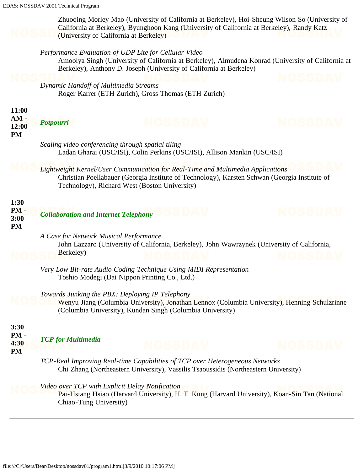<span id="page-10-2"></span><span id="page-10-1"></span><span id="page-10-0"></span>

|                                     | EDAS: NOSSDAV 2001 Technical Program                                      |                                                                                                                                                                                                                                    |       |
|-------------------------------------|---------------------------------------------------------------------------|------------------------------------------------------------------------------------------------------------------------------------------------------------------------------------------------------------------------------------|-------|
|                                     | (University of California at Berkeley)                                    | Zhuoqing Morley Mao (University of California at Berkeley), Hoi-Sheung Wilson So (University of<br>California at Berkeley), Byunghoon Kang (University of California at Berkeley), Randy Katz                                      |       |
|                                     |                                                                           | Performance Evaluation of UDP Lite for Cellular Video<br>Amoolya Singh (University of California at Berkeley), Almudena Konrad (University of California at<br>Berkeley), Anthony D. Joseph (University of California at Berkeley) |       |
|                                     | Dynamic Handoff of Multimedia Streams                                     | Roger Karrer (ETH Zurich), Gross Thomas (ETH Zurich)                                                                                                                                                                               |       |
| 11:00                               |                                                                           |                                                                                                                                                                                                                                    |       |
| $AM -$<br>12:00<br><b>PM</b>        | <b>Potpourri</b>                                                          |                                                                                                                                                                                                                                    |       |
|                                     | Scaling video conferencing through spatial tiling                         | Ladan Gharai (USC/ISI), Colin Perkins (USC/ISI), Allison Mankin (USC/ISI)                                                                                                                                                          |       |
|                                     |                                                                           | Lightweight Kernel/User Communication for Real-Time and Multimedia Applications<br>Christian Poellabauer (Georgia Institute of Technology), Karsten Schwan (Georgia Institute of<br>Technology), Richard West (Boston University)  |       |
| 1:30<br>$PM -$<br>3:00<br><b>PM</b> | <b>Collaboration and Internet Telephony</b>                               |                                                                                                                                                                                                                                    |       |
|                                     | A Case for Network Musical Performance<br>Berkeley)                       | John Lazzaro (University of California, Berkeley), John Wawrzynek (University of California,                                                                                                                                       |       |
|                                     |                                                                           | Very Low Bit-rate Audio Coding Technique Using MIDI Representation<br>Toshio Modegi (Dai Nippon Printing Co., Ltd.)                                                                                                                |       |
|                                     | Towards Junking the PBX: Deploying IP Telephony                           | Wenyu Jiang (Columbia University), Jonathan Lennox (Columbia University), Henning Schulzrinne<br>(Columbia University), Kundan Singh (Columbia University)                                                                         |       |
| 3:30<br>PM-<br>4:30<br><b>PM</b>    | <b>TCP</b> for Multimedia                                                 | NOSSDAV                                                                                                                                                                                                                            | OSSID |
|                                     |                                                                           | TCP-Real Improving Real-time Capabilities of TCP over Heterogeneous Networks<br>Chi Zhang (Northeastern University), Vassilis Tsaoussidis (Northeastern University)                                                                |       |
|                                     | Video over TCP with Explicit Delay Notification<br>Chiao-Tung University) | Pai-Hsiang Hsiao (Harvard University), H. T. Kung (Harvard University), Koan-Sin Tan (National                                                                                                                                     |       |